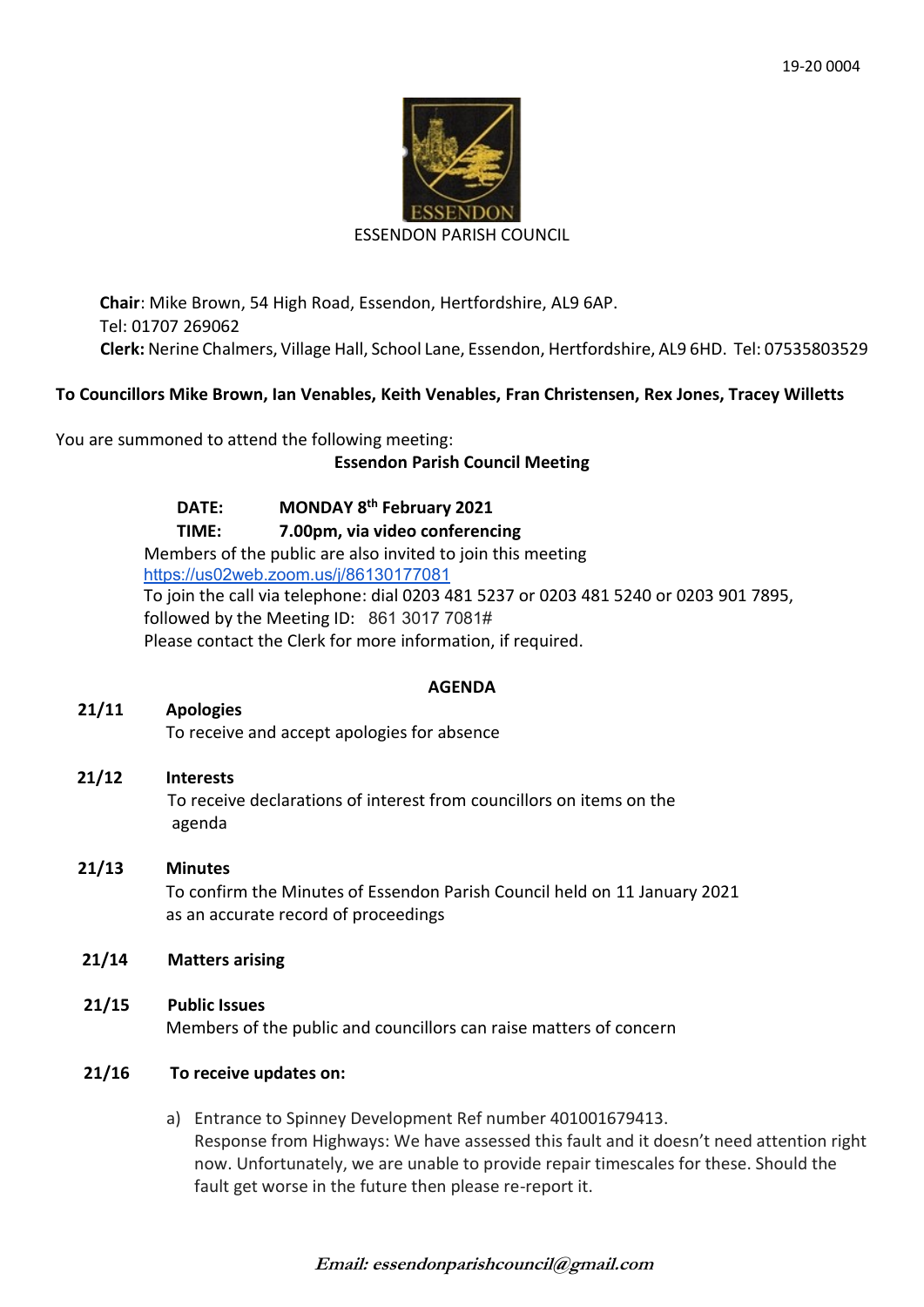

#### ESSENDON PARISH COUNCIL

**Chair**: Mike Brown, 54 High Road, Essendon, Hertfordshire, AL9 6AP. Tel: 01707 269062 **Clerk:** Nerine Chalmers, Village Hall, School Lane, Essendon, Hertfordshire, AL9 6HD. Tel: 07535803529

## **To Councillors Mike Brown, Ian Venables, Keith Venables, Fran Christensen, Rex Jones, Tracey Willetts**

You are summoned to attend the following meeting:

## **Essendon Parish Council Meeting**

**DATE: MONDAY 8th February 2021 TIME: 7.00pm, via video conferencing** Members of the public are also invited to join this meeting <https://us02web.zoom.us/j/86130177081> To join the call via telephone: dial 0203 481 5237 or 0203 481 5240 or 0203 901 7895, followed by the Meeting ID: 861 3017 7081# Please contact the Clerk for more information, if required.

## **AGENDA**

## **21/11 Apologies**

To receive and accept apologies for absence

## **21/12 Interests**

To receive declarations of interest from councillors on items on the agenda

# **21/13 Minutes**

 To confirm the Minutes of Essendon Parish Council held on 11 January 2021 as an accurate record of proceedings

## **21/14 Matters arising**

**21/15 Public Issues** Members of the public and councillors can raise matters of concern

## **21/16 To receive updates on:**

a) Entrance to Spinney Development Ref number 401001679413. Response from Highways: We have assessed this fault and it doesn't need attention right now. Unfortunately, we are unable to provide repair timescales for these. Should the fault get worse in the future then please re-report it.

## **Email: essendonparishcouncil@gmail.com**